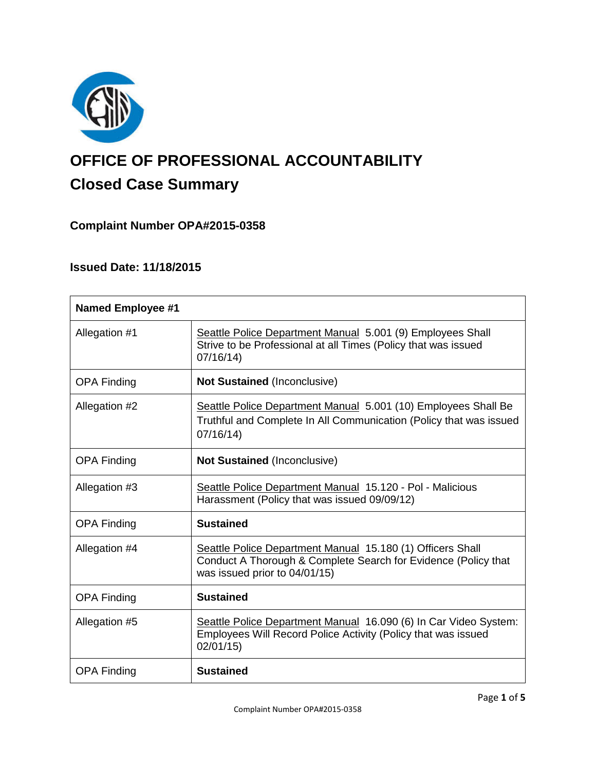

# **OFFICE OF PROFESSIONAL ACCOUNTABILITY Closed Case Summary**

# **Complaint Number OPA#2015-0358**

# **Issued Date: 11/18/2015**

| <b>Named Employee #1</b> |                                                                                                                                                               |
|--------------------------|---------------------------------------------------------------------------------------------------------------------------------------------------------------|
| Allegation #1            | Seattle Police Department Manual 5.001 (9) Employees Shall<br>Strive to be Professional at all Times (Policy that was issued<br>07/16/14                      |
| <b>OPA Finding</b>       | <b>Not Sustained (Inconclusive)</b>                                                                                                                           |
| Allegation #2            | Seattle Police Department Manual 5.001 (10) Employees Shall Be<br>Truthful and Complete In All Communication (Policy that was issued<br>07/16/14              |
| <b>OPA Finding</b>       | <b>Not Sustained (Inconclusive)</b>                                                                                                                           |
| Allegation #3            | Seattle Police Department Manual 15.120 - Pol - Malicious<br>Harassment (Policy that was issued 09/09/12)                                                     |
| <b>OPA Finding</b>       | <b>Sustained</b>                                                                                                                                              |
| Allegation #4            | Seattle Police Department Manual 15.180 (1) Officers Shall<br>Conduct A Thorough & Complete Search for Evidence (Policy that<br>was issued prior to 04/01/15) |
| <b>OPA Finding</b>       | <b>Sustained</b>                                                                                                                                              |
| Allegation #5            | Seattle Police Department Manual 16.090 (6) In Car Video System:<br>Employees Will Record Police Activity (Policy that was issued<br>02/01/15)                |
| <b>OPA Finding</b>       | <b>Sustained</b>                                                                                                                                              |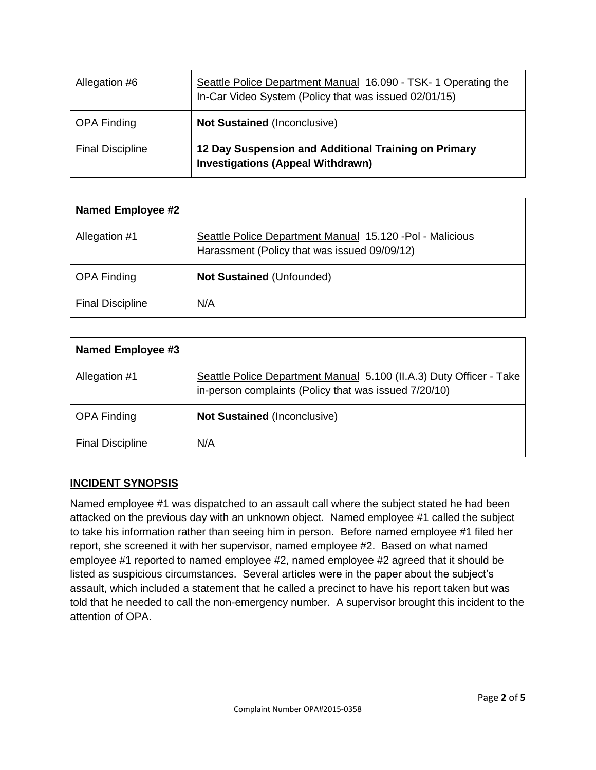| Allegation #6           | Seattle Police Department Manual 16.090 - TSK- 1 Operating the<br>In-Car Video System (Policy that was issued 02/01/15) |
|-------------------------|-------------------------------------------------------------------------------------------------------------------------|
| <b>OPA Finding</b>      | <b>Not Sustained (Inconclusive)</b>                                                                                     |
| <b>Final Discipline</b> | 12 Day Suspension and Additional Training on Primary<br><b>Investigations (Appeal Withdrawn)</b>                        |

| <b>Named Employee #2</b> |                                                                                                           |
|--------------------------|-----------------------------------------------------------------------------------------------------------|
| Allegation #1            | Seattle Police Department Manual 15.120 - Pol - Malicious<br>Harassment (Policy that was issued 09/09/12) |
| <b>OPA Finding</b>       | <b>Not Sustained (Unfounded)</b>                                                                          |
| <b>Final Discipline</b>  | N/A                                                                                                       |

| Named Employee #3       |                                                                                                                              |
|-------------------------|------------------------------------------------------------------------------------------------------------------------------|
| Allegation #1           | Seattle Police Department Manual 5.100 (II.A.3) Duty Officer - Take<br>in-person complaints (Policy that was issued 7/20/10) |
| <b>OPA Finding</b>      | <b>Not Sustained (Inconclusive)</b>                                                                                          |
| <b>Final Discipline</b> | N/A                                                                                                                          |

#### **INCIDENT SYNOPSIS**

Named employee #1 was dispatched to an assault call where the subject stated he had been attacked on the previous day with an unknown object. Named employee #1 called the subject to take his information rather than seeing him in person. Before named employee #1 filed her report, she screened it with her supervisor, named employee #2. Based on what named employee #1 reported to named employee #2, named employee #2 agreed that it should be listed as suspicious circumstances. Several articles were in the paper about the subject's assault, which included a statement that he called a precinct to have his report taken but was told that he needed to call the non-emergency number. A supervisor brought this incident to the attention of OPA.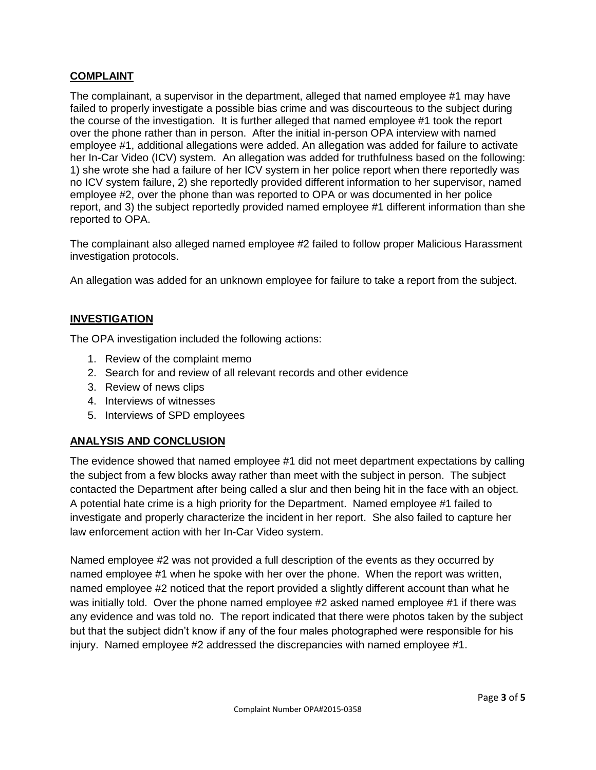### **COMPLAINT**

The complainant, a supervisor in the department, alleged that named employee #1 may have failed to properly investigate a possible bias crime and was discourteous to the subject during the course of the investigation. It is further alleged that named employee #1 took the report over the phone rather than in person. After the initial in-person OPA interview with named employee #1, additional allegations were added. An allegation was added for failure to activate her In-Car Video (ICV) system. An allegation was added for truthfulness based on the following: 1) she wrote she had a failure of her ICV system in her police report when there reportedly was no ICV system failure, 2) she reportedly provided different information to her supervisor, named employee #2, over the phone than was reported to OPA or was documented in her police report, and 3) the subject reportedly provided named employee #1 different information than she reported to OPA.

The complainant also alleged named employee #2 failed to follow proper Malicious Harassment investigation protocols.

An allegation was added for an unknown employee for failure to take a report from the subject.

#### **INVESTIGATION**

The OPA investigation included the following actions:

- 1. Review of the complaint memo
- 2. Search for and review of all relevant records and other evidence
- 3. Review of news clips
- 4. Interviews of witnesses
- 5. Interviews of SPD employees

#### **ANALYSIS AND CONCLUSION**

The evidence showed that named employee #1 did not meet department expectations by calling the subject from a few blocks away rather than meet with the subject in person. The subject contacted the Department after being called a slur and then being hit in the face with an object. A potential hate crime is a high priority for the Department. Named employee #1 failed to investigate and properly characterize the incident in her report. She also failed to capture her law enforcement action with her In-Car Video system.

Named employee #2 was not provided a full description of the events as they occurred by named employee #1 when he spoke with her over the phone. When the report was written, named employee #2 noticed that the report provided a slightly different account than what he was initially told. Over the phone named employee #2 asked named employee #1 if there was any evidence and was told no. The report indicated that there were photos taken by the subject but that the subject didn't know if any of the four males photographed were responsible for his injury. Named employee #2 addressed the discrepancies with named employee #1.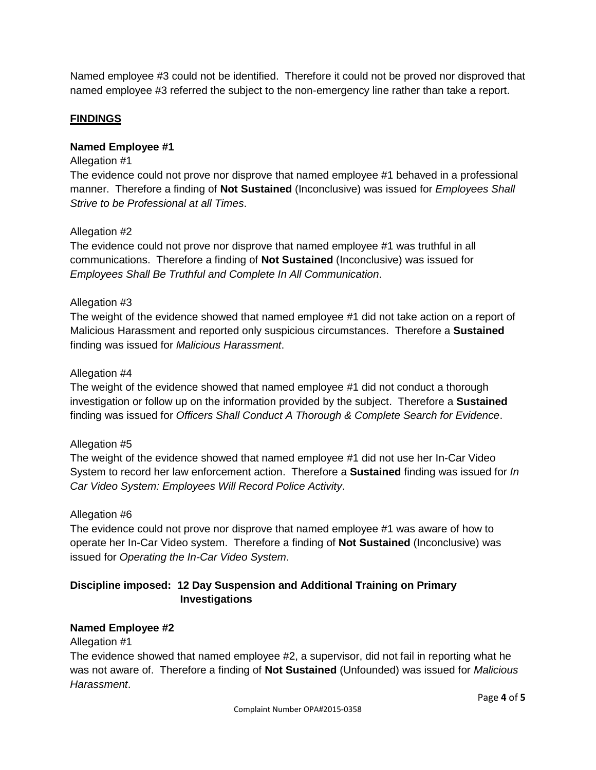Named employee #3 could not be identified. Therefore it could not be proved nor disproved that named employee #3 referred the subject to the non-emergency line rather than take a report.

#### **FINDINGS**

#### **Named Employee #1**

#### Allegation #1

The evidence could not prove nor disprove that named employee #1 behaved in a professional manner. Therefore a finding of **Not Sustained** (Inconclusive) was issued for *Employees Shall Strive to be Professional at all Times*.

#### Allegation #2

The evidence could not prove nor disprove that named employee #1 was truthful in all communications. Therefore a finding of **Not Sustained** (Inconclusive) was issued for *Employees Shall Be Truthful and Complete In All Communication*.

#### Allegation #3

The weight of the evidence showed that named employee #1 did not take action on a report of Malicious Harassment and reported only suspicious circumstances. Therefore a **Sustained** finding was issued for *Malicious Harassment*.

#### Allegation #4

The weight of the evidence showed that named employee #1 did not conduct a thorough investigation or follow up on the information provided by the subject. Therefore a **Sustained** finding was issued for *Officers Shall Conduct A Thorough & Complete Search for Evidence*.

#### Allegation #5

The weight of the evidence showed that named employee #1 did not use her In-Car Video System to record her law enforcement action. Therefore a **Sustained** finding was issued for *In Car Video System: Employees Will Record Police Activity*.

#### Allegation #6

The evidence could not prove nor disprove that named employee #1 was aware of how to operate her In-Car Video system. Therefore a finding of **Not Sustained** (Inconclusive) was issued for *Operating the In-Car Video System*.

## **Discipline imposed: 12 Day Suspension and Additional Training on Primary Investigations**

#### **Named Employee #2**

#### Allegation #1

The evidence showed that named employee #2, a supervisor, did not fail in reporting what he was not aware of. Therefore a finding of **Not Sustained** (Unfounded) was issued for *Malicious Harassment*.